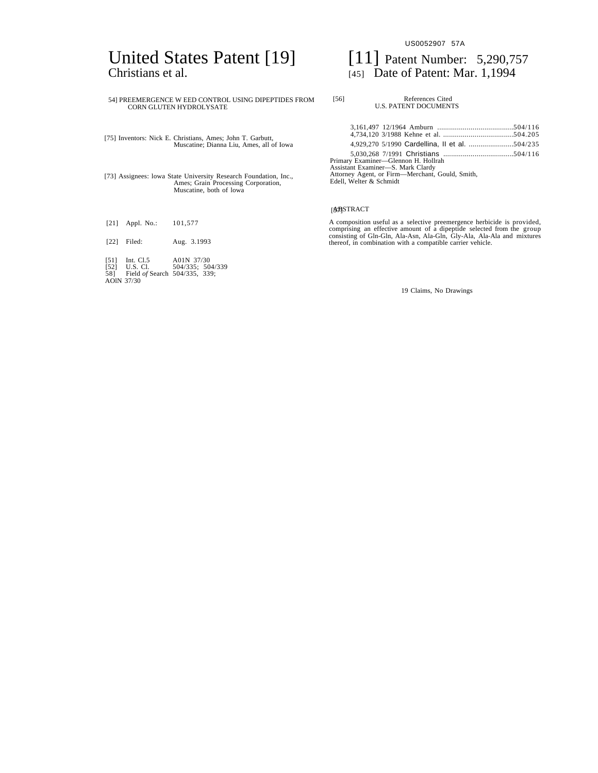# United States Patent [19] [11] Patent Number: 5,290,757 Christians et al. [45] Date of Patent: Mar. 1,1994

# 54] PREEMERGENCE W EED CONTROL USING DIPEPTIDES FROM CORN GLUTEN HYDROLYSATE

[75] Inventors: Nick E. Christians, Ames; John T. Garbutt, Muscatine; Dianna Liu, Ames, all of Iowa

[73] Assignees: lowa State University Research Foundation, Inc., Ames; Grain Processing Corporation, Muscatine, both

[21] Appl. No.: 101,577

[22] Filed: Aug. 3.1993

[51] Int. Cl.5 A01N 37/30 [52] U.S. Cl. 504/335; 504/339 58] Field *of* Search 504/335, 339; AOlN 37/30

US0052907 57A

| OL USING DIPEPTIDES FROM<br>ГF.                    | [56]<br>References Cited<br><b>U.S. PATENT DOCUMENTS</b>                                                                                               |  |
|----------------------------------------------------|--------------------------------------------------------------------------------------------------------------------------------------------------------|--|
| s: John T. Garbutt,<br>na Liu, Ames, all of Iowa   |                                                                                                                                                        |  |
| esearch Foundation, Inc.,<br>ocessing Corporation, | Primary Examiner-Glennon H. Hollrah<br>Assistant Examiner-S. Mark Clardy<br>Attorney Agent, or Firm—Merchant, Gould, Smith,<br>Edell, Welter & Schmidt |  |
| of lowa                                            |                                                                                                                                                        |  |

# [**3**BSTRACT

A composition useful as a selective preemergence herbicide is provided, comprising an effective amount of a dipeptide selected from the group consisting of Gln-Gln, Ala-Asn, Ala-Gln, Gly-Ala, Ala-Ala and mixtures thereof,

19 Claims, No Drawings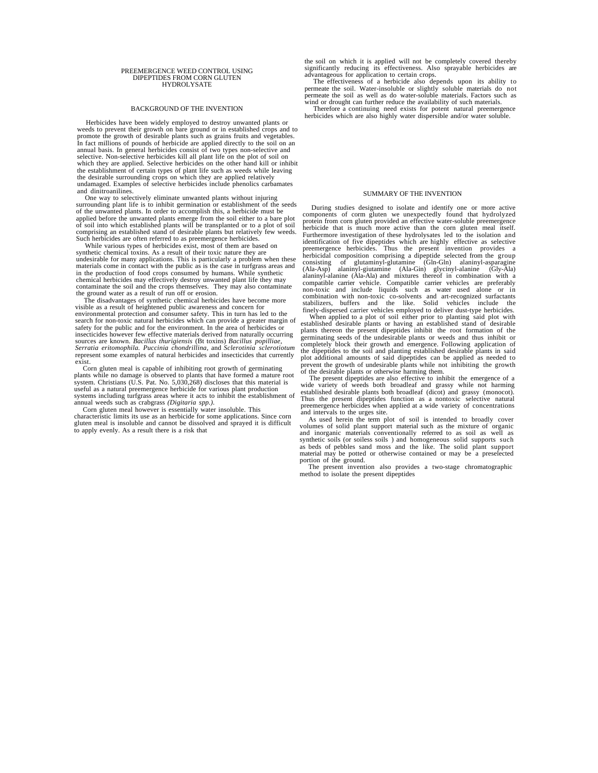#### PREEMERGENCE WEED CONTROL USING DIPEPTIDES FROM CORN GLUTEN **HYDROLYSATE**

#### BACKGROUND OF THE INVENTION

Herbicides have been widely employed to destroy unwanted plants or weeds to prevent their growth on bare ground or in established crops and to promote the growth of desirable plants such as grains fruits and vegetables. In fact millions of pounds of herbicide are applied directly to the soil on an annual basis. In general herbicides consist of two types non-selective and selective. Non-selective herbicides kill all plant life on the plot of soil on which they are applied. Selective herbicides on the other hand kill or inhibit the establishment of certain types of plant life such as weeds while leaving the desirable surrounding crops on which they are applied relative undamaged. Examples of selective herbicides include phenolics carbamates and dinitroanilines.

One way to selectively eliminate unwanted plants without injuring surrounding plant life is to inhibit germination or establishment of the seeds of the unwanted plants. In order to accomplish this, a herbicide must be applied before the unwanted plants emerge from the soil either to a bare plot of soil into which established plants will be transplanted or to a plot of soil comprising an established stand of desirable plants but relatively few weeds. Such herbicides are often referred to as preemergence herbicides.

While various types of herbicides exist, most of them are based on synthetic chemical toxins. As a result of their toxic nature they are undesirable for many applications. This is particularly a problem when these materials come in contact with the public as is the case in turfgrass areas and in the production of food crops consumed by humans. While synthetic chemical herbicides may effectively destroy unwanted plant life they may contaminate the soil and the crops themselves. They may also contaminate are ground water as a result of run off or erosion.<br>The disadvantages of syn

visible as a result of heightened public awareness and concern for environmental protection and consumer safety. This in turn has led to the search for non-toxic natural herbicides which can provide a greater margin of safety for the public and for the environment. In the area of herbicides or insecticides however few effective materials derived from naturally occurring sources are known. *Bacillus thurigiensis* (Bt toxins) *Bacillus popilliae, Serratia eritomophila. Puccinia chondrillina,* and *Sclerotinia sclerotiotum* represent some examples of natural herbicides and insecticides that currently exist.

Corn gluten meal is capable of inhibiting root growth of germinating plants while no damage is observed to plants that have formed a mature root system. Christians (U.S. Pat. No. 5,030,268) discloses that this material is useful as a natural preemergence herbicide for various plant production systems including turfgrass areas where it acts to inhibit the establishment of annual weeds such as crabgrass *(Digitaria spp.).*

Corn gluten meal however is essentially water insoluble. This characteristic limits its use as an herbicide for some applications. Since corn gluten meal is insoluble and cannot be dissolved and sprayed it is difficult to apply evenly. As a result there is a risk that

the soil on which it is applied will not be completely covered thereby significantly reducing its effectiveness. Also sprayable herbicides are advantageous for application to certain crops.

The effectiveness of a herbicide also depends upon its ability to permeate the soil. Water-insoluble or slightly soluble materials do not permeate the soil as well as do water-soluble materials. Factors such as wind or drought can further reduce the availability of such materials.

Therefore a continuing need exists for potent natural preemergence herbicides which are also highly water dispersible and/or water soluble.

#### SUMMARY OF THE INVENTION

During studies designed to isolate and identify one or more active components of corm gluten we unexpectedly found that hydrolyzed protein from corn gluten provided an effective water-soluble preemergence herbicide that is much more active than the corn gluten meal itself. Furthermore investigation of these hydrolysates led to the isolation and identification of five dipeptides which are highly effective as selective preemergence herbicides. Thus the present invention provides a<br>herbicidal composition comprising a dipeptide selected from the group<br>consisting of glutaminyl-glutamine (Gla-Gin) alaninyl-anaryle-aparagine<br>(Ala-Asp) alaniny compatible carrier vehicle. Compatible carrier vehicles are preferably non-toxic and include liquids such as water used alone or in combination with non-toxic co-solvents and art-recognized surfactants stabilizers, buffers and the like. Solid vehicles include the

finely-dispersed carrier vehicles employed to deliver dust-type herbicides. When applied to a plot of soil either prior to planting said plot with established desirable plants or having an established stand of desirable plants thereon the present dipeptides inhibit the root formation of the germinating seeds of the undesirable plants or weeds and thus inhibit or completely block their growth and emergence. Following application of the dipeptides to the soil and planting established desirable plants in said plot additional amounts of said dipeptides can be applied as needed to prevent the growth of undesirable plants while not inhibiting the growth of the desirable plants or otherwise harming them.

The present dipeptides are also effective to inhibit the emergence of a wide variety of weeds both broadleaf and grassy while not harming established desirable plants both broadleaf (dicot) and grassy (monocot). Thus the present dipeptides function as a nontoxic selective natural preemergence herbicides when applied at a wide variety of concentrations and intervals to the urges site.

As used herein the term plot of soil is intended to broadly cover volumes of solid plant support material such as the mixture of organic and inorganic materials conventionally referred to as soil as well as synthetic soils (or soiless soils ) and homogeneous solid supports such as beds of pebbles sand moss and the like. The solid plant support material may be potted or otherwise contained or may be a preselected

portion of the ground. The present invention also provides a two-stage chromatographic method to isolate the present dipeptides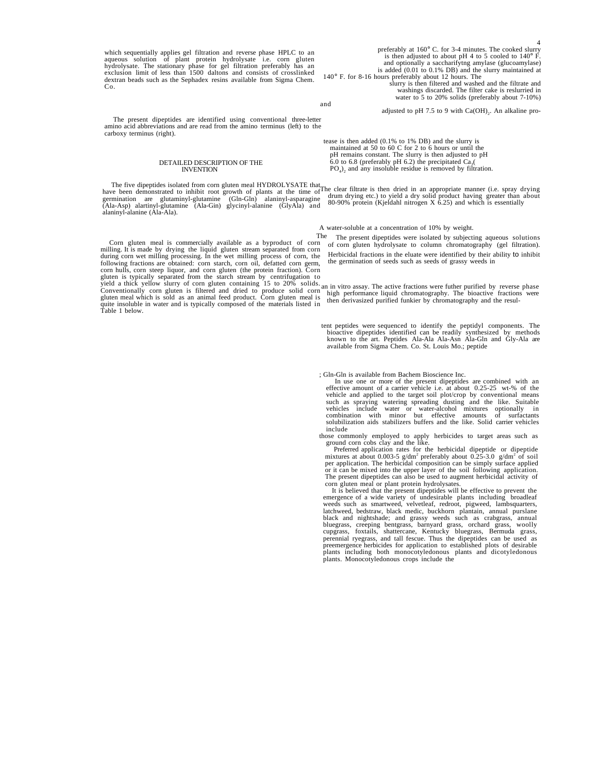which sequentially applies gel filtration and reverse phase HPLC to an<br>aqueous solution of plant protein hydrolysate i.e. corn gluten<br>hydrolysate. The stationary phase for gel filtration preferably has an<br>exclusion limit o dextran beads such as the Sephadex resins available from Sigma Chem. Co.

preferably at 160° C. for 3-4 minutes. The cooked slurry is then adjusted to about pH 4 to 5 cooled to  $140^\circ$  F and optionally a saccharifytng amylase (glucoamylase) is added (0.01 to 0.1% DB) and the slurry maintained at

140° F. for 8-16 hours preferably about 12 hours. The slurry is then filtered and washed and the filtrate and washings discarded. The filter cake is reslurried in water to 5 to 20% solids (preferably about 7-10%)

and

adjusted to pH 7.5 to 9 with  $Ca(OH)$ <sub>2</sub>. An alkaline pro-

The present dipeptides are identified using conventional three-letter amino acid abbreviations and are read from the amino terminus (left) to the carboxy terminus (right).

### DETAILED DESCRIPTION OF THE INVENTION

The five dipeptides isolated from corn gluten meal HYDROLYSATE that<br>have been demonstrated to inhibit root growth of plants at the time of<br>germination are glutaminyl-glutamine (Gln-Gln) alaninyl-asparagine<br>(Ala-Asp) alarin

Corn gluten meal is commercially available as a byproduct of corn milling. It is made by drying the liquid gluten stream separated from corn during corn wet milling processing. In the wet milling process of corn, the following fractions are obtained: corn starch, corn oil, defatted corn germ,<br>corn hulls, corn steep liquor, and corn gluten (the protein fraction). Corn<br>gluten is typically separated from the starch stream by centrifugatio yield a thick yellow slurry of corn gluten containing 15 to 20% solids. an in vitro assay. The active fractions were futher purified by reverse phase<br>Conventionally corn gluten is filtered and dried to produce solid corn h quite insoluble in water and is typically composed of the materials listed in Table 1 below.

 tease is then added (0.1% to 1% DB) and the slurry is maintained at 50 to 60 C for 2 to 6 hours or until the pH remains constant. The slurry is then adjusted to pH 6.0 to 6.8 (preferably pH 6.2) the precipitated Ca<sub>3</sub>( $PO_4$ )<sub>2</sub> and any insoluble residue is removed by filtration.

The clear filtrate is then dried in an appropriate manner (i.e. spray drying drum drying etc.) to yield a dry solid product having greater than about 80-90% protein (Kjeldahl nitrogen X 6.25) and which is essentially

A water-soluble at a concentration of 10% by weight.

The The present dipeptides were isolated by subjecting aqueous solutions of corn gluten hydrolysate to column chromatography (gel filtration).

Herbicidal fractions in the eluate were identified by their ability to inhibit the germination of seeds such as seeds of grassy weeds in

tent peptides were sequenced to identify the peptidyl components. The bioactive dipeptides identified can be readily synthesized by methods known to the art. Peptides Ala-Ala Ala-Asn Ala-Gln and Gly-Ala are available from

; Gln-Gln is available from Bachem Bioscience Inc.

In use one or more of the present dipeptides are combined with an effective amount of a carrier vehicle i.e. at about 0.25-25 wt-% of the vehicle and applied to the target soil plot/crop by conventional means vehicle and applied to the target soil plot/crop by conventional means<br>such as spraying watering spreading dusting and the like. Suitable<br>vehicles include water or water-alcohol mixtures optionally in<br>combination with mino solubilization aids stabilizers buffers and the like. Solid carrier vehicles include

those commonly employed to apply herbicides to target areas such as ground corn cobs clay and the like.

Preferred application rates for the herbicidal dipeptide or dipeptide<br>mixtures at about 0.003-5 g/dm<sup>3</sup> preferably about 0.25-3.0 g/dm<sup>2</sup> of soil<br>per application. The herbicidal composition can be simply surface applied or it can be mixed into the upper layer of the soil following application. The present dipeptides can also be used to augment herbicidal activity of gluten meal or plant protein hydrolysate.

It is believed that the present dipeptides will be effective to prevent the emergence of a wide variety of undesirable plants including broadleaf weeds such as smartweed, velvetleaf, redroot, pigweed, lambsquarters, latchweed, bedstraw, black medic, buckhorn plantain, annual purslane black and nightshade; and grassy weeds such as crabgrass, annual bluegrass, creeping bentgrass, barnyard grass, orchard grass, woolly cupgrass, foxtails, shattercane, Kentucky bluegrass, Bermuda grass, perennial ryegrass, and tall fescue. Thus the dipeptides can be used as preemergence herbicides for application to established plots of desirable plants including both monocotyledonous plants and dicotyledonous plants. Monocotyledonous crops include the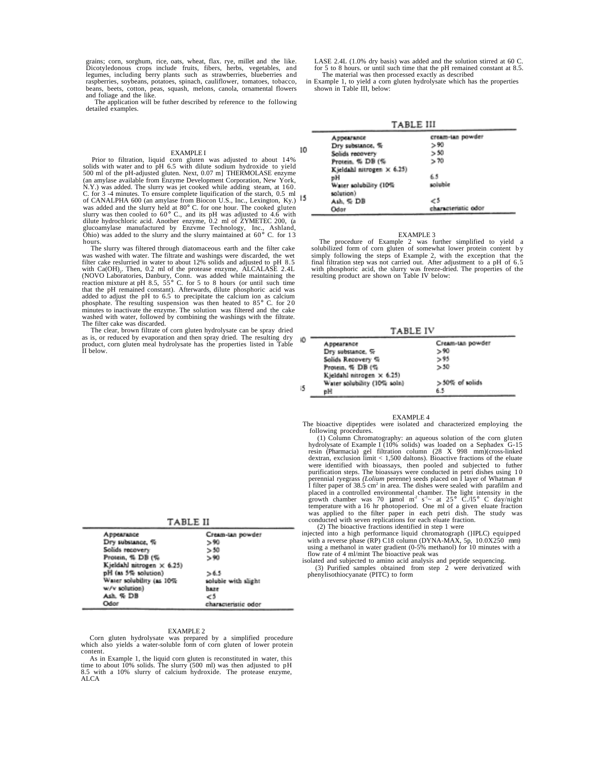grains; corn, sorghum, rice, oats, wheat, flax. rye, millet and the like. Dicotyledonous crops include fruits, fibers, herbs, vegetables, and legumes, including berry plants such as strawberries, blueberries and raspberries, soybeans, potatoes, spinach, cauliflower, tomatoes, tobacco, beans, beets, cotton, peas, squash, melons, canola, ornamental flowers and foliage and the like.

The application will be futher described by reference to the following detailed examples.

## EXAMPLE I

Prior to filtration, liquid corn gluten was adjusted to about 14% solids with water and to pH 6.5 with dilute sodium hydroxide to yield 500 ml of the pH-adjusted gluten. Next, 0.07 m] THERMOLASE enzyme (an amylase available from Enzyme Development Corporation, New York, N.Y.) was added. The slurry was jet cooked while adding steam, at 160. C. for 3 -4 minutes. To ensure complete liquification of the starch, 0.5 ml of CANALPHA 600 (an amylase from Biocon U.S., Inc., Lexington, Ky.) was added and the slurry held at 80° C. for one hour. The cooked gluten slurry was then cooled to 60° C., and its pH was adjusted to 4.6 with dilute hydrochloric acid. Another enzyme, 0.2 ml of ZYMETEC 200, (a glucoamylase manufactured by Enzvme Technology, Inc., Ashland, Ohio) was added to the slurry and the slurry maintained at 60° C. for 1 3 hours.

The slurry was filtered through diatomaceous earth and the filter cake was washed with water. The filtrate and washings were discarded, the wet filter cake reslurried in water to about 12% solids and adjusted to pH 8.5 with Ca(OH)<sub>2</sub>. Then, 0.2 ml of the protease enzyme, ALCALASE 2.4L<br>(NOVO Laboratories, Danbury, Conn. was added while maintaining the<br>reaction mixture at pH 8.5, 55° C. for 5 to 8 hours (or until such time that the pH remained constant). Afterwards, dilute phosphoric acid was aded to adjust the pH to 6.5 to precipitate the calcium ion as calcium<br>phosphate. The resulting suspension was then heated to 85° C. for 20 minutes to inactivate the enzyme. The solution was filtered and the cake washed with water, followed by combining the washings with the filtrate. The filter cake was discarded.

The clear, brown filtrate of corn gluten hydrolysate can be spray dried as is, or reduced by evaporation and then spray dried. The resulting dry product, corn gluten meal hydrolysate has the properties listed in Table II below.

| TABLE II |  |  |
|----------|--|--|
|          |  |  |

| Appearance                | Cream-tan powder    |
|---------------------------|---------------------|
| Dry substance, %          | > 90                |
| Solids recovery           | > 50                |
| Protein, % DB (%          | > 90                |
| Kjeldahl nitrogen × 6.25) |                     |
| pH (as 5% solution)       | >6.5                |
| Water solubility (as 10%  | soluble with slight |
| w/v solution)             | haze                |
| Ash. % DB                 | €5                  |
| Odor                      | characteristic odor |

#### EXAMPLE 2

Corn gluten hydrolysate was prepared by a simplified procedure which also yields a water-soluble form of corn gluten of lower protein content.

As in Example 1, the liquid corn gluten is reconstituted in water, this time to about 10% solids. The slurry (500 ml) was then adjusted to pH<br>8.5 with a 10% slurry of calcium hydroxide. The protease enzyme, ALCA

LASE 2.4L (1.0% dry basis) was added and the solution stirred at 60 C for 5 to 8 hours. or until such time that the pH remained constant at 8.5. The material was then processed exactly as described

in Example 1, to yield a corn gluten hydrolysate which has the properties shown in Table III, below:

- - - - - - -

| 1 ABLE III                |                     |  |  |  |
|---------------------------|---------------------|--|--|--|
| Appearance                | cream-tan powder    |  |  |  |
| Dry substance, %          | > 90                |  |  |  |
| Solids recovery           | >50                 |  |  |  |
| Protein, % DB (%          | >70                 |  |  |  |
| Kjeldahl nitrogen × 6.25) |                     |  |  |  |
| ъH                        | 65                  |  |  |  |
| Water solubility (10%     | soluble             |  |  |  |
| (solution                 |                     |  |  |  |
| Ash. S: DB                | 5                   |  |  |  |
| Odar                      | characteristic odor |  |  |  |

10

## EXAMPLE 3

The procedure of Example 2 was further simplified to yield a solubilized form of corn gluten of somewhat lower protein content by simply following the steps of Example 2, with the exception that the final filtration step was not carried out. After adjustment to a pH of 6.5 with phosphoric acid, the slurry was freeze-dried. The properties of the resulting product are shown on Table IV below:

**TABLE IV** 

|    | ---------                   |                  |  |
|----|-----------------------------|------------------|--|
| ю  | Appearance                  | Cream-tan powder |  |
|    | Dry substance, %            | > 90             |  |
|    | Solids Recovery %           | 5.95             |  |
|    | Protein, % DB (%            | > 50             |  |
|    | Kjeldahl nitrogen × 6.25)   |                  |  |
|    | Water solubility (10% soln) | >50% of solids   |  |
| 15 | вH                          | 6.5              |  |

# EXAMPLE 4

 The bioactive dipeptides were isolated and characterized employing the following procedures.

(1) Column Chromatography: an aqueous solution of the corn gluten hydrolysate of Example I (10% solids) was loaded on a Sephadex G-15 resin (Pharmacia) gel filtration column (28 X 998 mm)(cross-linked dextran, exclusion limit < 1,500 daltons). Bioactive fractions of the eluate were identified with bioassays, then pooled and subjected to futher<br>purification steps. The bioassays were conducted in petri dishes using 10<br>perennial ryegrass *(Lolium* perenne) seeds placed on I layer of Whatman # I filter paper of 38.5 cm<sup>2</sup> in area. The dishes were sealed with parafilm and placed in a controlled environmental chamber. The light intensity in the growth chamber was 70 µmol m<sup>2</sup> s<sup>-1</sup> × at 25<sup>o</sup> C./15<sup>o</sup> C day/night conducted with seven replications for each eluate fraction.

(2) The bioactive fractions identified in step 1 were<br>injected into a high performance liquid chromatograph (}IPLC) equipped<br>with a reverse phase (RP) C18 column (DYNA-MAX, 5p, 10.0X250 mm)<br>using a methanol in water gradi

 isolated and subjected to amino acid analysis and peptide sequencing. (3) Purified samples obtained from step 2 were derivatized with phenylisothiocyanate (PITC) to form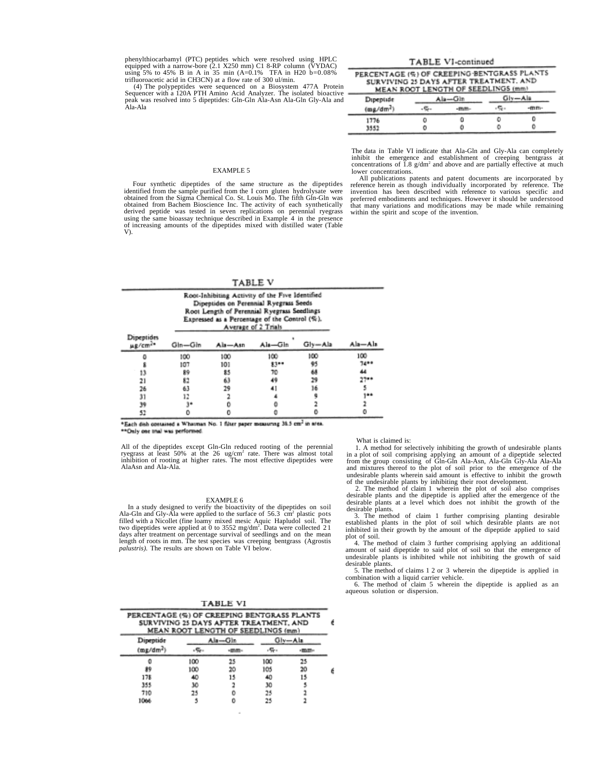phenylthiocarbamyl (PTC) peptides which were resolved using HPLC<br>equipped with a narrow-bore (2.1 X250 mm) C1 8-RP column (VYDAC)<br>using 5% to 45% B in A in 35 min (A=0.1% TFA in H20 b=0.08%<br>trifluoroacetic acid in CH3CN) a

(4) The polypeptides were sequenced on a Biosystem 477A Protein Sequencer with a 120A PTH Amino Acid Analyzer. The isolated bioactive peak was resolved into 5 dipeptides: Gln-Gln Ala-Asn Ala-Gln Gly-Ala and Ala-Ala

# TABLE VI-continued PERCENTAGE (6) OF CREEPING BENTGRASS PLANTS

| Dipeptide<br>(mg/dm <sup>2</sup> ) |             | Ala-Gin |  | Gly-Aia |  |
|------------------------------------|-------------|---------|--|---------|--|
|                                    | <b>Take</b> |         |  | -mm-    |  |
| 1776                               |             |         |  | o       |  |
| 3552                               |             | о       |  | ٥       |  |

The data in Table VI indicate that Ala-Gln and Gly-Ala can completely inhibit the emergence and establishment of creeping bentgrass at concentrations of  $\overline{1.8}$  g/dm<sup>2</sup> and above and are partially effective at much lower concentrations.

# EXAMPLE 5

Four synthetic dipeptides of the same structure as the dipeptides<br>identified from the sample purified from the sigma Chemical Co. St. Louis Mo. The fifth Gln-Gln was<br>obtained from the Sigma Chemical Co. St. Louis Mo. The f obtained from Bachem Bioscience Inc. The activity of each synthetically derived peptide was tested in seven replications on perennial ryegrass using the same bioassay technique described in Example 4 in the presence of increasing amounts of the dipeptides mixed with distilled water (Table V).

TABLE V

|                                   | Root-Inhibiting Activity of the Five Identified<br>Dipeptides on Perennial Ryegrass Seeds<br>Root Length of Perennial Ryegrass Seedlings<br>Expressed as a Percentage of the Control (%).<br>Average of 2 Trials |         |         |             |          |
|-----------------------------------|------------------------------------------------------------------------------------------------------------------------------------------------------------------------------------------------------------------|---------|---------|-------------|----------|
| Dipeptides<br>µg/cm <sup>2+</sup> | Gln-Gln                                                                                                                                                                                                          | Als-Asn | Als-Gin | $G y = A a$ | Ala—Ala  |
|                                   | 100                                                                                                                                                                                                              | 100     | 100     | 100         | 100      |
|                                   | 107                                                                                                                                                                                                              | 101     | 8300    | 95          | $74 + 4$ |
| 13                                | 鈴                                                                                                                                                                                                                | 85      | 70      | 68          | 44       |
| 21                                | 82                                                                                                                                                                                                               | 63      | 49      | 29          | 27       |
| 26                                | 63                                                                                                                                                                                                               | 29      | 41      | 16          |          |
| 31                                | 12                                                                                                                                                                                                               |         |         |             | $1 + 1$  |
| 39                                |                                                                                                                                                                                                                  |         |         |             |          |
| 52                                |                                                                                                                                                                                                                  |         |         |             |          |

\*Each dish contained a Whatman No. 1 filter paper measuring 38.5 cm<sup>2</sup> in area. \*\*Only one trial was performed.

All of the dipeptides except Gln-Gln reduced rooting of the perennial<br>ryegrass at least 50% at the 26 ug/cm<sup>2</sup> rate. There was almost total<br>inhibition of rooting at higher rates. The most effective dipeptides were<br>AlaAsn a

### EXAMPLE 6

In a study designed to verify the bioactivity of the dipeptides on soil Ala-Gln and Gly-Ala were applied to the surface of 56.3 cm<sup>2</sup> plastic pots filled with a Nicollet (fine loamy mixed mesic Aquic Hapludol soil. The two dipeptides were applied at 0 to 3552 mg/dm<sup>2</sup>. Data were collected 21 days after treatment on percentage survival of seedlings and on the mean<br>length of roots in mm. The test species was creeping bentgrass (Agrostis<br>*palustris)*. The results are shown on Table VI below.

| PERCENTAGE (%) OF CREEPING BENTGRASS PLANTS<br>SURVIVING 25 DAYS AFTER TREATMENT, AND | MEAN ROOT LENGTH OF SEEDLINGS (mm) |         |     |              |  |
|---------------------------------------------------------------------------------------|------------------------------------|---------|-----|--------------|--|
| Dipeptide                                                                             |                                    | Als—Gin |     | Giv—Ala      |  |
| $(m_E/dm^2)$                                                                          |                                    |         |     | <b>HIMPH</b> |  |
|                                                                                       | 100                                |         | 100 | 25           |  |
| 89                                                                                    | 100                                | 20      | 105 | 20           |  |
| 178                                                                                   | 40                                 |         | 40  |              |  |
| 355                                                                                   | 30                                 |         | 30  |              |  |
| 710                                                                                   | 25                                 |         | 25  |              |  |
|                                                                                       |                                    |         | 25  |              |  |

All publications patents and patent documents are incorporated by reference herein as though individually incorporated by reference. The invention has been described with reference to various specific and preferred embodiments and techniques. However it should be understood that many variations and modifications may be made while remaining within the spirit and scope of the invention.

# What is claimed is:

1. A method for selectively inhibiting the growth of undesirable plants in a plot of soil comprising applying an amount of a dipeptide selected from the group consisting of Gln-Gln Ala-Asn, Ala-Gln Gly-Ala Ala-Ala and mixtures thereof to the plot of soil prior to the emergence of the undesirable plants wherein said amount is effective to inhibit the growth of the undesirable plants by inhibiting their root development.

2. The method of claim 1 wherein the plot of soil also comprises desirable plants and the dipeptide is applied after the emergence of the desirable plants at a level which does not inhibit the growth of the desirable plants.

3. The method of claim 1 further comprising planting desirable established plants in the plot of soil which desirable plants are not inhibited in their growth by the amount of the dipeptide applied to said plot of soil.

4. The method of claim 3 further comprising applying an additional amount of said dipeptide to said plot of soil so that the emergence of undesirable plants is inhibited while not inhibiting the growth of said desirable plants.

5. The method of claims 1 2 or 3 wherein the dipeptide is applied in combination with a liquid carrier vehicle.

6. The method of claim 5 wherein the dipeptide is applied as an aqueous solution or dispersion.